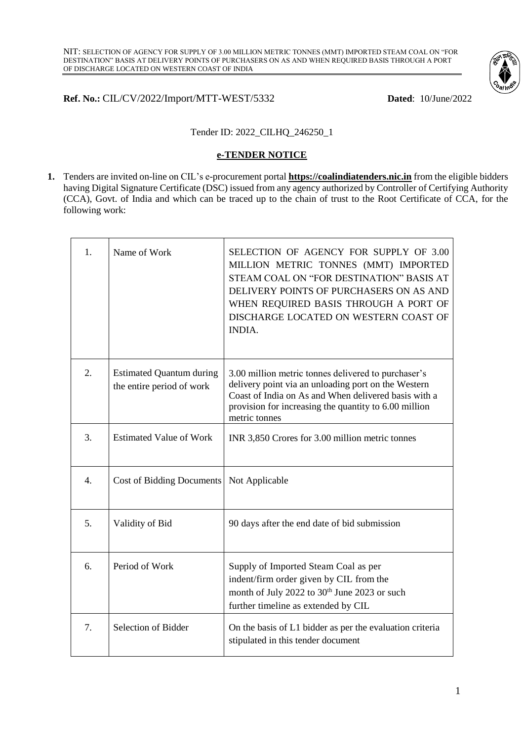

## **Ref. No.:** CIL/CV/2022/Import/MTT-WEST/5332 **Dated**: 10/June/2022

## Tender ID: 2022\_CILHQ\_246250\_1

#### **e-TENDER NOTICE**

**1.** Tenders are invited on-line on CIL's e-procurement portal **[https://coalindiatenders.nic.in](https://coalindiatenders.nic.in/)** from the eligible bidders having Digital Signature Certificate (DSC) issued from any agency authorized by Controller of Certifying Authority (CCA), Govt. of India and which can be traced up to the chain of trust to the Root Certificate of CCA, for the following work:

| 1.               | Name of Work                                                 | SELECTION OF AGENCY FOR SUPPLY OF 3.00<br>MILLION METRIC TONNES (MMT) IMPORTED<br>STEAM COAL ON "FOR DESTINATION" BASIS AT<br>DELIVERY POINTS OF PURCHASERS ON AS AND<br>WHEN REQUIRED BASIS THROUGH A PORT OF<br>DISCHARGE LOCATED ON WESTERN COAST OF<br><b>INDIA.</b> |
|------------------|--------------------------------------------------------------|--------------------------------------------------------------------------------------------------------------------------------------------------------------------------------------------------------------------------------------------------------------------------|
| 2.               | <b>Estimated Quantum during</b><br>the entire period of work | 3.00 million metric tonnes delivered to purchaser's<br>delivery point via an unloading port on the Western<br>Coast of India on As and When delivered basis with a<br>provision for increasing the quantity to 6.00 million<br>metric tonnes                             |
| 3.               | <b>Estimated Value of Work</b>                               | INR 3,850 Crores for 3.00 million metric tonnes                                                                                                                                                                                                                          |
| $\overline{4}$ . | <b>Cost of Bidding Documents</b>                             | Not Applicable                                                                                                                                                                                                                                                           |
| 5.               | Validity of Bid                                              | 90 days after the end date of bid submission                                                                                                                                                                                                                             |
| 6.               | Period of Work                                               | Supply of Imported Steam Coal as per<br>indent/firm order given by CIL from the<br>month of July 2022 to 30 <sup>th</sup> June 2023 or such<br>further timeline as extended by CIL                                                                                       |
| 7.               | Selection of Bidder                                          | On the basis of L1 bidder as per the evaluation criteria<br>stipulated in this tender document                                                                                                                                                                           |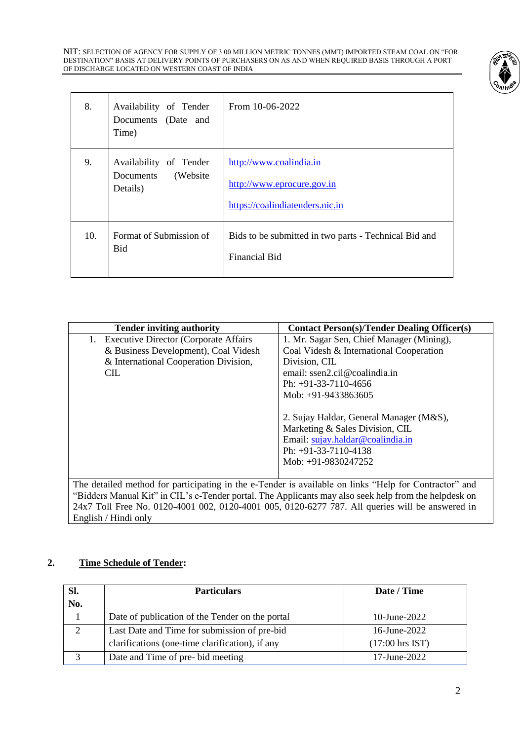NIT: SELECTION OF AGENCY FOR SUPPLY OF 3.00 MILLION METRIC TONNES (MMT) IMPORTED STEAM COAL ON "FOR DESTINATION" BASIS AT DELIVERY POINTS OF PURCHASERS ON AS AND WHEN REQUIRED BASIS THROUGH A PORT OF DISCHARGE LOCATED ON WESTERN COAST OF INDIA



| 8.  | Availability of Tender<br>Documents (Date and<br>Time)       | From 10-06-2022                                                                          |
|-----|--------------------------------------------------------------|------------------------------------------------------------------------------------------|
| 9.  | Availability of Tender<br>(Website)<br>Documents<br>Details) | http://www.coalindia.in<br>http://www.eprocure.gov.in<br>https://coalindiatenders.nic.in |
| 10. | Format of Submission of<br>Bid                               | Bids to be submitted in two parts - Technical Bid and<br><b>Financial Bid</b>            |

| <b>Tender inviting authority</b>                                                                      | <b>Contact Person(s)/Tender Dealing Officer(s)</b> |  |  |
|-------------------------------------------------------------------------------------------------------|----------------------------------------------------|--|--|
| <b>Executive Director (Corporate Affairs</b><br>1.                                                    | 1. Mr. Sagar Sen, Chief Manager (Mining),          |  |  |
| & Business Development), Coal Videsh                                                                  | Coal Videsh & International Cooperation            |  |  |
| & International Cooperation Division,                                                                 | Division, CIL                                      |  |  |
| CIL.                                                                                                  | email: ssen2.cil@coalindia.in                      |  |  |
|                                                                                                       | Ph: $+91-33-7110-4656$                             |  |  |
|                                                                                                       | Mob: +91-9433863605                                |  |  |
|                                                                                                       |                                                    |  |  |
|                                                                                                       | 2. Sujay Haldar, General Manager (M&S),            |  |  |
|                                                                                                       | Marketing & Sales Division, CIL                    |  |  |
|                                                                                                       | Email: sujay.haldar@coalindia.in                   |  |  |
|                                                                                                       | Ph: $+91-33-7110-4138$                             |  |  |
|                                                                                                       | Mob: +91-9830247252                                |  |  |
|                                                                                                       |                                                    |  |  |
| The detailed method for participating in the e-Tender is available on links "Help for Contractor" and |                                                    |  |  |
| "Bidders Manual Kit" in CIL's e-Tender portal. The Applicants may also seek help from the helpdesk on |                                                    |  |  |
| 24x7 Toll Free No. 0120-4001 002, 0120-4001 005, 0120-6277 787. All queries will be answered in       |                                                    |  |  |

English / Hindi only

# **2. Time Schedule of Tender:**

| Sl. | <b>Particulars</b>                              | Date / Time                |
|-----|-------------------------------------------------|----------------------------|
| No. |                                                 |                            |
|     | Date of publication of the Tender on the portal | 10-June-2022               |
| 2   | Last Date and Time for submission of pre-bid    | 16-June-2022               |
|     | clarifications (one-time clarification), if any | $(17:00 \text{ hrs } IST)$ |
| 3   | Date and Time of pre-bid meeting                | 17-June-2022               |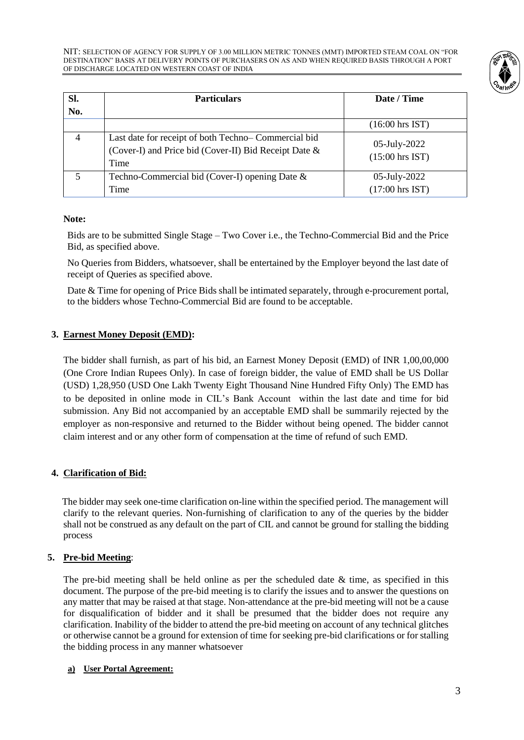

| SI.<br>No.     | <b>Particulars</b>                                                                                                   | Date / Time                       |
|----------------|----------------------------------------------------------------------------------------------------------------------|-----------------------------------|
|                |                                                                                                                      | $(16:00 \text{ hrs IST})$         |
| $\overline{4}$ | Last date for receipt of both Techno-Commercial bid<br>(Cover-I) and Price bid (Cover-II) Bid Receipt Date &<br>Time | 05-July-2022<br>$(15:00$ hrs IST) |
| 5              | Techno-Commercial bid (Cover-I) opening Date $\&$<br>Time                                                            | 05-July-2022<br>$(17:00$ hrs IST) |

## **Note:**

Bids are to be submitted Single Stage – Two Cover i.e., the Techno-Commercial Bid and the Price Bid, as specified above.

No Queries from Bidders, whatsoever, shall be entertained by the Employer beyond the last date of receipt of Queries as specified above.

Date & Time for opening of Price Bids shall be intimated separately, through e-procurement portal, to the bidders whose Techno-Commercial Bid are found to be acceptable.

## **3. Earnest Money Deposit (EMD):**

The bidder shall furnish, as part of his bid, an Earnest Money Deposit (EMD) of INR 1,00,00,000 (One Crore Indian Rupees Only). In case of foreign bidder, the value of EMD shall be US Dollar (USD) 1,28,950 (USD One Lakh Twenty Eight Thousand Nine Hundred Fifty Only) The EMD has to be deposited in online mode in CIL's Bank Account within the last date and time for bid submission. Any Bid not accompanied by an acceptable EMD shall be summarily rejected by the employer as non-responsive and returned to the Bidder without being opened. The bidder cannot claim interest and or any other form of compensation at the time of refund of such EMD.

# **4. Clarification of Bid:**

 The bidder may seek one-time clarification on-line within the specified period. The management will clarify to the relevant queries. Non-furnishing of clarification to any of the queries by the bidder shall not be construed as any default on the part of CIL and cannot be ground for stalling the bidding process

## **5. Pre-bid Meeting**:

The pre-bid meeting shall be held online as per the scheduled date  $\&$  time, as specified in this document. The purpose of the pre-bid meeting is to clarify the issues and to answer the questions on any matter that may be raised at that stage. Non-attendance at the pre-bid meeting will not be a cause for disqualification of bidder and it shall be presumed that the bidder does not require any clarification. Inability of the bidder to attend the pre-bid meeting on account of any technical glitches or otherwise cannot be a ground for extension of time for seeking pre-bid clarifications or for stalling the bidding process in any manner whatsoever

## **a) User Portal Agreement:**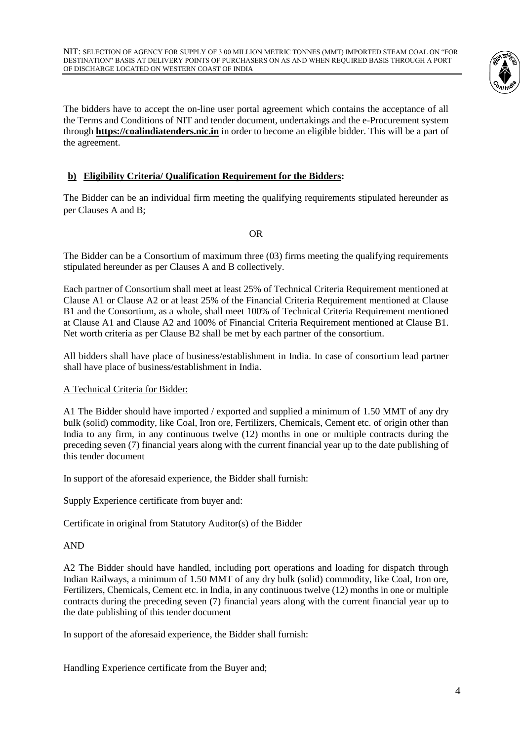

The bidders have to accept the on-line user portal agreement which contains the acceptance of all the Terms and Conditions of NIT and tender document, undertakings and the e-Procurement system through **[https://coalindiatenders.nic.in](https://coalindiatenders.nic.in/)** in order to become an eligible bidder. This will be a part of the agreement.

# **b) Eligibility Criteria/ Qualification Requirement for the Bidders:**

The Bidder can be an individual firm meeting the qualifying requirements stipulated hereunder as per Clauses A and B;

OR

The Bidder can be a Consortium of maximum three (03) firms meeting the qualifying requirements stipulated hereunder as per Clauses A and B collectively.

Each partner of Consortium shall meet at least 25% of Technical Criteria Requirement mentioned at Clause A1 or Clause A2 or at least 25% of the Financial Criteria Requirement mentioned at Clause B1 and the Consortium, as a whole, shall meet 100% of Technical Criteria Requirement mentioned at Clause A1 and Clause A2 and 100% of Financial Criteria Requirement mentioned at Clause B1. Net worth criteria as per Clause B2 shall be met by each partner of the consortium.

All bidders shall have place of business/establishment in India. In case of consortium lead partner shall have place of business/establishment in India.

## A Technical Criteria for Bidder:

A1 The Bidder should have imported / exported and supplied a minimum of 1.50 MMT of any dry bulk (solid) commodity, like Coal, Iron ore, Fertilizers, Chemicals, Cement etc. of origin other than India to any firm, in any continuous twelve (12) months in one or multiple contracts during the preceding seven (7) financial years along with the current financial year up to the date publishing of this tender document

In support of the aforesaid experience, the Bidder shall furnish:

Supply Experience certificate from buyer and:

Certificate in original from Statutory Auditor(s) of the Bidder

## AND

A2 The Bidder should have handled, including port operations and loading for dispatch through Indian Railways, a minimum of 1.50 MMT of any dry bulk (solid) commodity, like Coal, Iron ore, Fertilizers, Chemicals, Cement etc. in India, in any continuous twelve (12) months in one or multiple contracts during the preceding seven (7) financial years along with the current financial year up to the date publishing of this tender document

In support of the aforesaid experience, the Bidder shall furnish:

Handling Experience certificate from the Buyer and;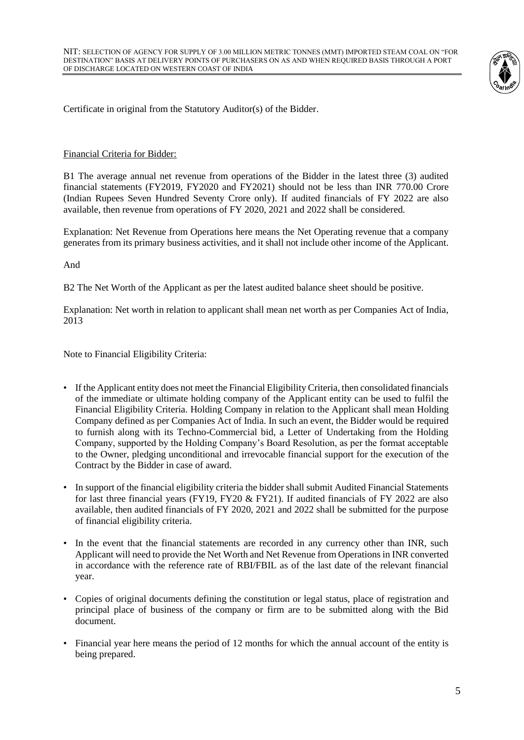

Certificate in original from the Statutory Auditor(s) of the Bidder.

#### Financial Criteria for Bidder:

B1 The average annual net revenue from operations of the Bidder in the latest three (3) audited financial statements (FY2019, FY2020 and FY2021) should not be less than INR 770.00 Crore (Indian Rupees Seven Hundred Seventy Crore only). If audited financials of FY 2022 are also available, then revenue from operations of FY 2020, 2021 and 2022 shall be considered.

Explanation: Net Revenue from Operations here means the Net Operating revenue that a company generates from its primary business activities, and it shall not include other income of the Applicant.

And

B2 The Net Worth of the Applicant as per the latest audited balance sheet should be positive.

Explanation: Net worth in relation to applicant shall mean net worth as per Companies Act of India, 2013

Note to Financial Eligibility Criteria:

- If the Applicant entity does not meet the Financial Eligibility Criteria, then consolidated financials of the immediate or ultimate holding company of the Applicant entity can be used to fulfil the Financial Eligibility Criteria. Holding Company in relation to the Applicant shall mean Holding Company defined as per Companies Act of India. In such an event, the Bidder would be required to furnish along with its Techno-Commercial bid, a Letter of Undertaking from the Holding Company, supported by the Holding Company's Board Resolution, as per the format acceptable to the Owner, pledging unconditional and irrevocable financial support for the execution of the Contract by the Bidder in case of award.
- In support of the financial eligibility criteria the bidder shall submit Audited Financial Statements for last three financial years (FY19, FY20 & FY21). If audited financials of FY 2022 are also available, then audited financials of FY 2020, 2021 and 2022 shall be submitted for the purpose of financial eligibility criteria.
- In the event that the financial statements are recorded in any currency other than INR, such Applicant will need to provide the Net Worth and Net Revenue from Operations in INR converted in accordance with the reference rate of RBI/FBIL as of the last date of the relevant financial year.
- Copies of original documents defining the constitution or legal status, place of registration and principal place of business of the company or firm are to be submitted along with the Bid document.
- Financial year here means the period of 12 months for which the annual account of the entity is being prepared.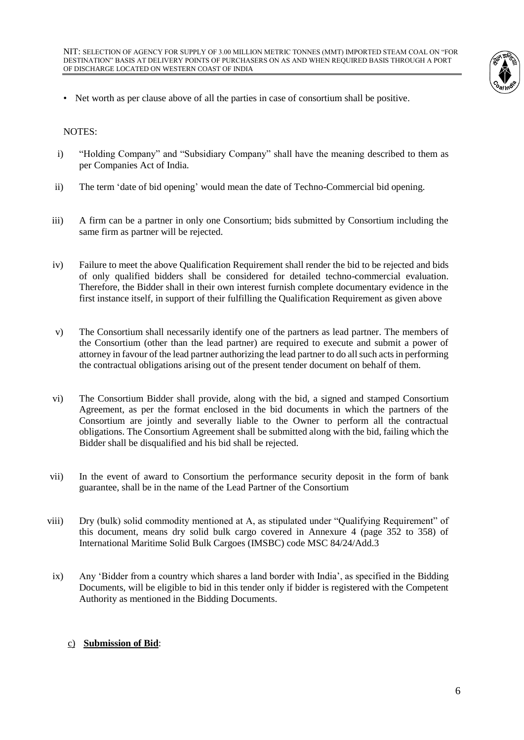

• Net worth as per clause above of all the parties in case of consortium shall be positive.

NOTES:

- i) "Holding Company" and "Subsidiary Company" shall have the meaning described to them as per Companies Act of India.
- ii) The term 'date of bid opening' would mean the date of Techno-Commercial bid opening.
- iii) A firm can be a partner in only one Consortium; bids submitted by Consortium including the same firm as partner will be rejected.
- iv) Failure to meet the above Qualification Requirement shall render the bid to be rejected and bids of only qualified bidders shall be considered for detailed techno-commercial evaluation. Therefore, the Bidder shall in their own interest furnish complete documentary evidence in the first instance itself, in support of their fulfilling the Qualification Requirement as given above
- v) The Consortium shall necessarily identify one of the partners as lead partner. The members of the Consortium (other than the lead partner) are required to execute and submit a power of attorney in favour of the lead partner authorizing the lead partner to do all such acts in performing the contractual obligations arising out of the present tender document on behalf of them.
- vi) The Consortium Bidder shall provide, along with the bid, a signed and stamped Consortium Agreement, as per the format enclosed in the bid documents in which the partners of the Consortium are jointly and severally liable to the Owner to perform all the contractual obligations. The Consortium Agreement shall be submitted along with the bid, failing which the Bidder shall be disqualified and his bid shall be rejected.
- vii) In the event of award to Consortium the performance security deposit in the form of bank guarantee, shall be in the name of the Lead Partner of the Consortium
- viii) Dry (bulk) solid commodity mentioned at A, as stipulated under "Qualifying Requirement" of this document, means dry solid bulk cargo covered in Annexure 4 (page 352 to 358) of International Maritime Solid Bulk Cargoes (IMSBC) code MSC 84/24/Add.3
- ix) Any 'Bidder from a country which shares a land border with India', as specified in the Bidding Documents, will be eligible to bid in this tender only if bidder is registered with the Competent Authority as mentioned in the Bidding Documents.

## c) **Submission of Bid**: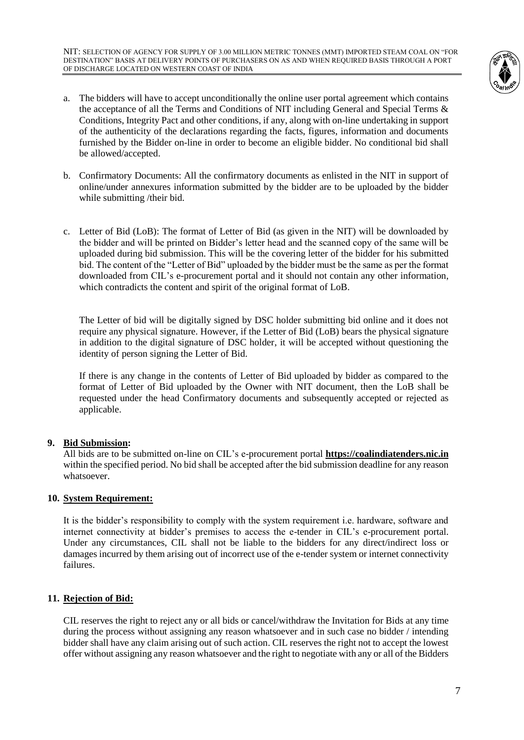NIT: SELECTION OF AGENCY FOR SUPPLY OF 3.00 MILLION METRIC TONNES (MMT) IMPORTED STEAM COAL ON "FOR DESTINATION" BASIS AT DELIVERY POINTS OF PURCHASERS ON AS AND WHEN REQUIRED BASIS THROUGH A PORT OF DISCHARGE LOCATED ON WESTERN COAST OF INDIA



- a. The bidders will have to accept unconditionally the online user portal agreement which contains the acceptance of all the Terms and Conditions of NIT including General and Special Terms & Conditions, Integrity Pact and other conditions, if any, along with on-line undertaking in support of the authenticity of the declarations regarding the facts, figures, information and documents furnished by the Bidder on-line in order to become an eligible bidder. No conditional bid shall be allowed/accepted.
- b. Confirmatory Documents: All the confirmatory documents as enlisted in the NIT in support of online/under annexures information submitted by the bidder are to be uploaded by the bidder while submitting /their bid.
- c. Letter of Bid (LoB): The format of Letter of Bid (as given in the NIT) will be downloaded by the bidder and will be printed on Bidder's letter head and the scanned copy of the same will be uploaded during bid submission. This will be the covering letter of the bidder for his submitted bid. The content of the "Letter of Bid" uploaded by the bidder must be the same as per the format downloaded from CIL's e-procurement portal and it should not contain any other information, which contradicts the content and spirit of the original format of LoB.

The Letter of bid will be digitally signed by DSC holder submitting bid online and it does not require any physical signature. However, if the Letter of Bid (LoB) bears the physical signature in addition to the digital signature of DSC holder, it will be accepted without questioning the identity of person signing the Letter of Bid.

If there is any change in the contents of Letter of Bid uploaded by bidder as compared to the format of Letter of Bid uploaded by the Owner with NIT document, then the LoB shall be requested under the head Confirmatory documents and subsequently accepted or rejected as applicable.

## **9. Bid Submission:**

All bids are to be submitted on-line on CIL's e-procurement portal **[https://coalindiatenders.nic.in](https://coalindiatenders.nic.in/)** within the specified period. No bid shall be accepted after the bid submission deadline for any reason whatsoever.

## **10. System Requirement:**

It is the bidder's responsibility to comply with the system requirement i.e. hardware, software and internet connectivity at bidder's premises to access the e-tender in CIL's e-procurement portal. Under any circumstances, CIL shall not be liable to the bidders for any direct/indirect loss or damages incurred by them arising out of incorrect use of the e-tender system or internet connectivity failures.

# **11. Rejection of Bid:**

CIL reserves the right to reject any or all bids or cancel/withdraw the Invitation for Bids at any time during the process without assigning any reason whatsoever and in such case no bidder / intending bidder shall have any claim arising out of such action. CIL reserves the right not to accept the lowest offer without assigning any reason whatsoever and the right to negotiate with any or all of the Bidders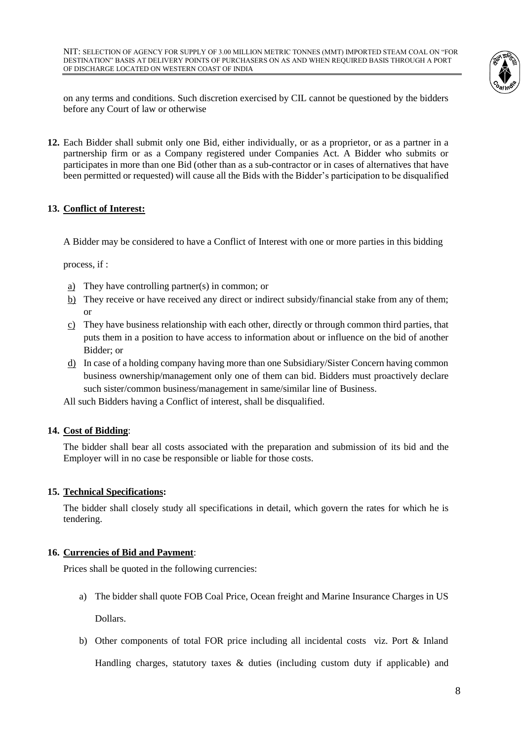

on any terms and conditions. Such discretion exercised by CIL cannot be questioned by the bidders before any Court of law or otherwise

**12.** Each Bidder shall submit only one Bid, either individually, or as a proprietor, or as a partner in a partnership firm or as a Company registered under Companies Act. A Bidder who submits or participates in more than one Bid (other than as a sub-contractor or in cases of alternatives that have been permitted or requested) will cause all the Bids with the Bidder's participation to be disqualified

## **13. Conflict of Interest:**

A Bidder may be considered to have a Conflict of Interest with one or more parties in this bidding

process, if :

- a) They have controlling partner(s) in common; or
- b) They receive or have received any direct or indirect subsidy/financial stake from any of them; or
- c) They have business relationship with each other, directly or through common third parties, that puts them in a position to have access to information about or influence on the bid of another Bidder; or
- d) In case of a holding company having more than one Subsidiary/Sister Concern having common business ownership/management only one of them can bid. Bidders must proactively declare such sister/common business/management in same/similar line of Business.

All such Bidders having a Conflict of interest, shall be disqualified.

## **14. Cost of Bidding**:

The bidder shall bear all costs associated with the preparation and submission of its bid and the Employer will in no case be responsible or liable for those costs.

## **15. Technical Specifications:**

The bidder shall closely study all specifications in detail, which govern the rates for which he is tendering.

## **16. Currencies of Bid and Payment**:

Prices shall be quoted in the following currencies:

a) The bidder shall quote FOB Coal Price, Ocean freight and Marine Insurance Charges in US

Dollars.

b) Other components of total FOR price including all incidental costs viz. Port & Inland

Handling charges, statutory taxes & duties (including custom duty if applicable) and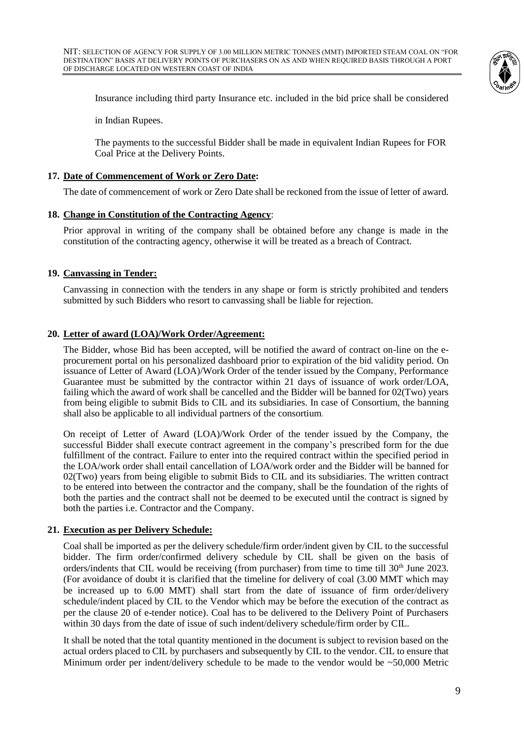

Insurance including third party Insurance etc. included in the bid price shall be considered

in Indian Rupees.

The payments to the successful Bidder shall be made in equivalent Indian Rupees for FOR Coal Price at the Delivery Points.

#### **17. Date of Commencement of Work or Zero Date:**

The date of commencement of work or Zero Date shall be reckoned from the issue of letter of award.

#### **18. Change in Constitution of the Contracting Agency**:

Prior approval in writing of the company shall be obtained before any change is made in the constitution of the contracting agency, otherwise it will be treated as a breach of Contract.

#### **19. Canvassing in Tender:**

Canvassing in connection with the tenders in any shape or form is strictly prohibited and tenders submitted by such Bidders who resort to canvassing shall be liable for rejection.

#### **20. Letter of award (LOA)/Work Order/Agreement:**

The Bidder, whose Bid has been accepted, will be notified the award of contract on-line on the eprocurement portal on his personalized dashboard prior to expiration of the bid validity period. On issuance of Letter of Award (LOA)/Work Order of the tender issued by the Company, Performance Guarantee must be submitted by the contractor within 21 days of issuance of work order/LOA, failing which the award of work shall be cancelled and the Bidder will be banned for 02(Two) years from being eligible to submit Bids to CIL and its subsidiaries. In case of Consortium, the banning shall also be applicable to all individual partners of the consortium.

On receipt of Letter of Award (LOA)/Work Order of the tender issued by the Company, the successful Bidder shall execute contract agreement in the company's prescribed form for the due fulfillment of the contract. Failure to enter into the required contract within the specified period in the LOA/work order shall entail cancellation of LOA/work order and the Bidder will be banned for 02(Two) years from being eligible to submit Bids to CIL and its subsidiaries. The written contract to be entered into between the contractor and the company, shall be the foundation of the rights of both the parties and the contract shall not be deemed to be executed until the contract is signed by both the parties i.e. Contractor and the Company.

#### **21. Execution as per Delivery Schedule:**

Coal shall be imported as per the delivery schedule/firm order/indent given by CIL to the successful bidder. The firm order/confirmed delivery schedule by CIL shall be given on the basis of orders/indents that CIL would be receiving (from purchaser) from time to time till 30<sup>th</sup> June 2023. (For avoidance of doubt it is clarified that the timeline for delivery of coal (3.00 MMT which may be increased up to 6.00 MMT) shall start from the date of issuance of firm order/delivery schedule/indent placed by CIL to the Vendor which may be before the execution of the contract as per the clause 20 of e-tender notice). Coal has to be delivered to the Delivery Point of Purchasers within 30 days from the date of issue of such indent/delivery schedule/firm order by CIL.

It shall be noted that the total quantity mentioned in the document is subject to revision based on the actual orders placed to CIL by purchasers and subsequently by CIL to the vendor. CIL to ensure that Minimum order per indent/delivery schedule to be made to the vendor would be  $\approx$  50,000 Metric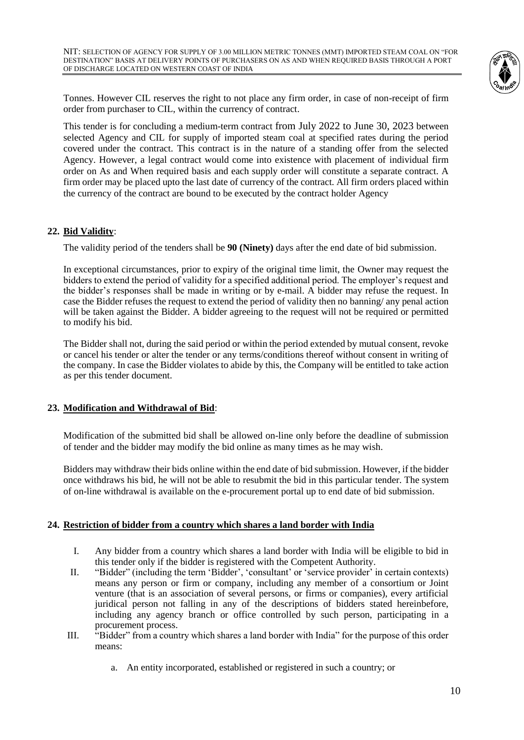

Tonnes. However CIL reserves the right to not place any firm order, in case of non-receipt of firm order from purchaser to CIL, within the currency of contract.

This tender is for concluding a medium-term contract from July 2022 to June 30, 2023 between selected Agency and CIL for supply of imported steam coal at specified rates during the period covered under the contract. This contract is in the nature of a standing offer from the selected Agency. However, a legal contract would come into existence with placement of individual firm order on As and When required basis and each supply order will constitute a separate contract. A firm order may be placed upto the last date of currency of the contract. All firm orders placed within the currency of the contract are bound to be executed by the contract holder Agency

## **22. Bid Validity**:

The validity period of the tenders shall be **90 (Ninety)** days after the end date of bid submission.

In exceptional circumstances, prior to expiry of the original time limit, the Owner may request the bidders to extend the period of validity for a specified additional period. The employer's request and the bidder's responses shall be made in writing or by e-mail. A bidder may refuse the request. In case the Bidder refuses the request to extend the period of validity then no banning/ any penal action will be taken against the Bidder. A bidder agreeing to the request will not be required or permitted to modify his bid.

The Bidder shall not, during the said period or within the period extended by mutual consent, revoke or cancel his tender or alter the tender or any terms/conditions thereof without consent in writing of the company. In case the Bidder violates to abide by this, the Company will be entitled to take action as per this tender document.

# **23. Modification and Withdrawal of Bid**:

Modification of the submitted bid shall be allowed on-line only before the deadline of submission of tender and the bidder may modify the bid online as many times as he may wish.

Bidders may withdraw their bids online within the end date of bid submission. However, if the bidder once withdraws his bid, he will not be able to resubmit the bid in this particular tender. The system of on-line withdrawal is available on the e-procurement portal up to end date of bid submission.

## **24. Restriction of bidder from a country which shares a land border with India**

- I. Any bidder from a country which shares a land border with India will be eligible to bid in this tender only if the bidder is registered with the Competent Authority.
- II. "Bidder" (including the term 'Bidder', 'consultant' or 'service provider' in certain contexts) means any person or firm or company, including any member of a consortium or Joint venture (that is an association of several persons, or firms or companies), every artificial juridical person not falling in any of the descriptions of bidders stated hereinbefore, including any agency branch or office controlled by such person, participating in a procurement process.
- III. "Bidder" from a country which shares a land border with India" for the purpose of this order means:
	- a. An entity incorporated, established or registered in such a country; or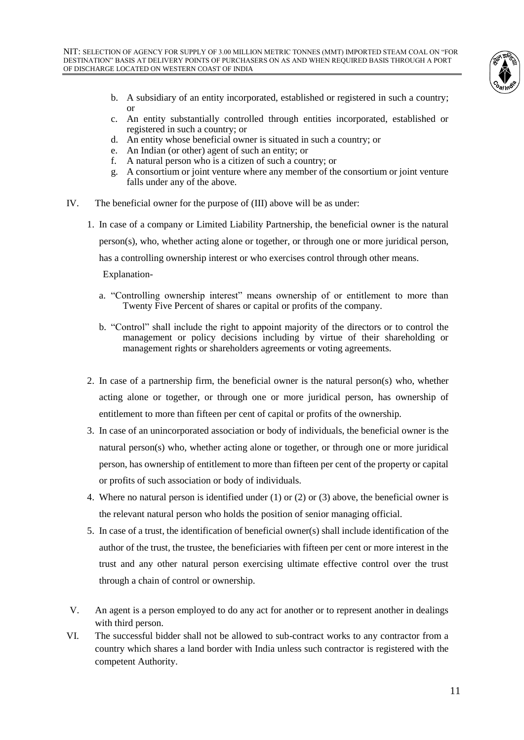

- b. A subsidiary of an entity incorporated, established or registered in such a country; or
- c. An entity substantially controlled through entities incorporated, established or registered in such a country; or
- d. An entity whose beneficial owner is situated in such a country; or
- e. An Indian (or other) agent of such an entity; or
- f. A natural person who is a citizen of such a country; or
- g. A consortium or joint venture where any member of the consortium or joint venture falls under any of the above.
- IV. The beneficial owner for the purpose of (III) above will be as under:
	- 1. In case of a company or Limited Liability Partnership, the beneficial owner is the natural person(s), who, whether acting alone or together, or through one or more juridical person, has a controlling ownership interest or who exercises control through other means. Explanation
		- a. "Controlling ownership interest" means ownership of or entitlement to more than Twenty Five Percent of shares or capital or profits of the company.
		- b. "Control" shall include the right to appoint majority of the directors or to control the management or policy decisions including by virtue of their shareholding or management rights or shareholders agreements or voting agreements.
	- 2. In case of a partnership firm, the beneficial owner is the natural person(s) who, whether acting alone or together, or through one or more juridical person, has ownership of entitlement to more than fifteen per cent of capital or profits of the ownership.
	- 3. In case of an unincorporated association or body of individuals, the beneficial owner is the natural person(s) who, whether acting alone or together, or through one or more juridical person, has ownership of entitlement to more than fifteen per cent of the property or capital or profits of such association or body of individuals.
	- 4. Where no natural person is identified under (1) or (2) or (3) above, the beneficial owner is the relevant natural person who holds the position of senior managing official.
	- 5. In case of a trust, the identification of beneficial owner(s) shall include identification of the author of the trust, the trustee, the beneficiaries with fifteen per cent or more interest in the trust and any other natural person exercising ultimate effective control over the trust through a chain of control or ownership.
- V. An agent is a person employed to do any act for another or to represent another in dealings with third person.
- VI. The successful bidder shall not be allowed to sub-contract works to any contractor from a country which shares a land border with India unless such contractor is registered with the competent Authority.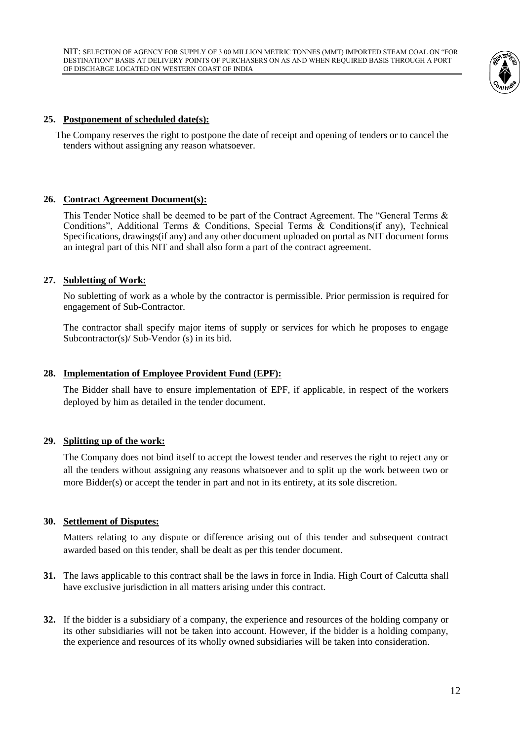

#### **25. Postponement of scheduled date(s):**

 The Company reserves the right to postpone the date of receipt and opening of tenders or to cancel the tenders without assigning any reason whatsoever.

#### **26. Contract Agreement Document(s):**

This Tender Notice shall be deemed to be part of the Contract Agreement. The "General Terms & Conditions", Additional Terms & Conditions, Special Terms & Conditions(if any), Technical Specifications, drawings(if any) and any other document uploaded on portal as NIT document forms an integral part of this NIT and shall also form a part of the contract agreement.

#### **27. Subletting of Work:**

No subletting of work as a whole by the contractor is permissible. Prior permission is required for engagement of Sub-Contractor.

The contractor shall specify major items of supply or services for which he proposes to engage Subcontractor(s)/ Sub-Vendor (s) in its bid.

#### **28. Implementation of Employee Provident Fund (EPF):**

The Bidder shall have to ensure implementation of EPF, if applicable, in respect of the workers deployed by him as detailed in the tender document.

#### **29. Splitting up of the work:**

The Company does not bind itself to accept the lowest tender and reserves the right to reject any or all the tenders without assigning any reasons whatsoever and to split up the work between two or more Bidder(s) or accept the tender in part and not in its entirety, at its sole discretion.

#### **30. Settlement of Disputes:**

Matters relating to any dispute or difference arising out of this tender and subsequent contract awarded based on this tender, shall be dealt as per this tender document.

- **31.** The laws applicable to this contract shall be the laws in force in India. High Court of Calcutta shall have exclusive jurisdiction in all matters arising under this contract.
- **32.** If the bidder is a subsidiary of a company, the experience and resources of the holding company or its other subsidiaries will not be taken into account. However, if the bidder is a holding company, the experience and resources of its wholly owned subsidiaries will be taken into consideration.